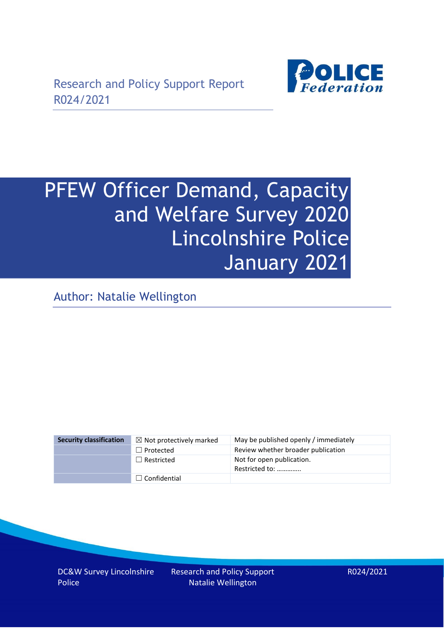

# PFEW Officer Demand, Capacity and Welfare Survey 2020 Lincolnshire Police January 2021

Author: Natalie Wellington

| <b>Security classification</b> | $\boxtimes$ Not protectively marked | May be published openly / immediately       |
|--------------------------------|-------------------------------------|---------------------------------------------|
|                                | $\Box$ Protected                    | Review whether broader publication          |
|                                | $\Box$ Restricted                   | Not for open publication.<br>Restricted to: |
|                                | $\Box$ Confidential                 |                                             |

DC&W Survey Lincolnshire Police

Research and Policy Support Natalie Wellington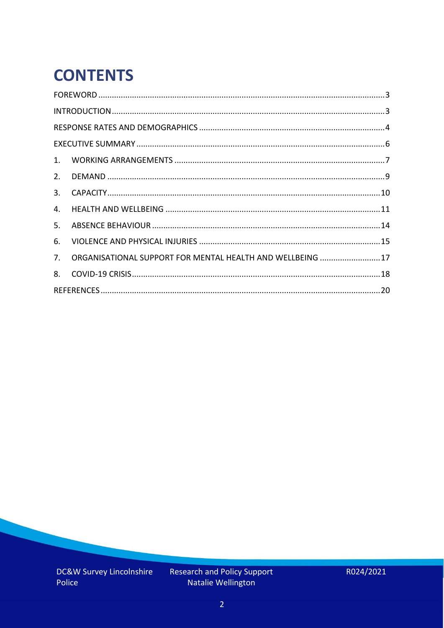# **CONTENTS**

| 2.          |                                                            |  |
|-------------|------------------------------------------------------------|--|
| 3.          |                                                            |  |
| 4.          |                                                            |  |
| 5.          |                                                            |  |
| 6.          |                                                            |  |
| $7_{\cdot}$ | ORGANISATIONAL SUPPORT FOR MENTAL HEALTH AND WELLBEING  17 |  |
| 8.          |                                                            |  |
|             |                                                            |  |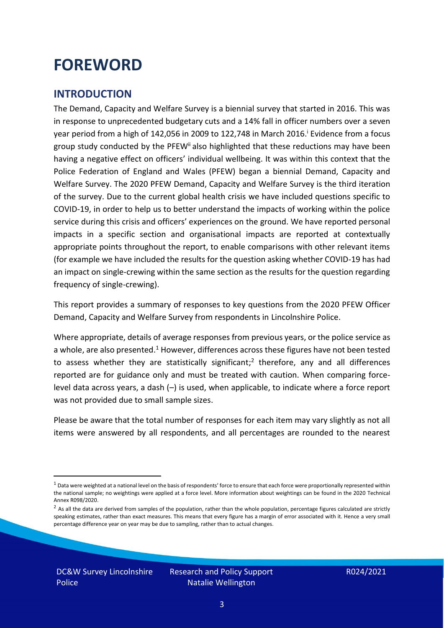### <span id="page-2-0"></span>**FOREWORD**

#### <span id="page-2-1"></span>**INTRODUCTION**

The Demand, Capacity and Welfare Survey is a biennial survey that started in 2016. This was in response to unprecedented budgetary cuts and a 14% fall in officer numbers over a seven year period from a high of 142,056 in 2009 to 122,748 in March 2016. <sup>i</sup> Evidence from a focus group study conducted by the PFEW<sup>ii</sup> also highlighted that these reductions may have been having a negative effect on officers' individual wellbeing. It was within this context that the Police Federation of England and Wales (PFEW) began a biennial Demand, Capacity and Welfare Survey. The 2020 PFEW Demand, Capacity and Welfare Survey is the third iteration of the survey. Due to the current global health crisis we have included questions specific to COVID-19, in order to help us to better understand the impacts of working within the police service during this crisis and officers' experiences on the ground. We have reported personal impacts in a specific section and organisational impacts are reported at contextually appropriate points throughout the report, to enable comparisons with other relevant items (for example we have included the results for the question asking whether COVID-19 has had an impact on single-crewing within the same section as the results for the question regarding frequency of single-crewing).

This report provides a summary of responses to key questions from the 2020 PFEW Officer Demand, Capacity and Welfare Survey from respondents in Lincolnshire Police.

Where appropriate, details of average responses from previous years, or the police service as a whole, are also presented.<sup>1</sup> However, differences across these figures have not been tested to assess whether they are statistically significant;<sup>2</sup> therefore, any and all differences reported are for guidance only and must be treated with caution. When comparing forcelevel data across years, a dash (–) is used, when applicable, to indicate where a force report was not provided due to small sample sizes.

Please be aware that the total number of responses for each item may vary slightly as not all items were answered by all respondents, and all percentages are rounded to the nearest

 $1$  Data were weighted at a national level on the basis of respondents' force to ensure that each force were proportionally represented within the national sample; no weightings were applied at a force level. More information about weightings can be found in the 2020 Technical Annex R098/2020.

 $2$  As all the data are derived from samples of the population, rather than the whole population, percentage figures calculated are strictly speaking estimates, rather than exact measures. This means that every figure has a margin of error associated with it. Hence a very small percentage difference year on year may be due to sampling, rather than to actual changes.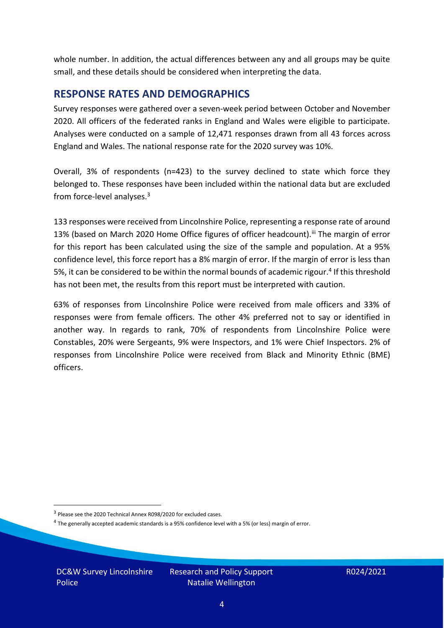whole number. In addition, the actual differences between any and all groups may be quite small, and these details should be considered when interpreting the data.

#### <span id="page-3-0"></span>**RESPONSE RATES AND DEMOGRAPHICS**

Survey responses were gathered over a seven-week period between October and November 2020. All officers of the federated ranks in England and Wales were eligible to participate. Analyses were conducted on a sample of 12,471 responses drawn from all 43 forces across England and Wales. The national response rate for the 2020 survey was 10%.

Overall, 3% of respondents (n=423) to the survey declined to state which force they belonged to. These responses have been included within the national data but are excluded from force-level analyses. $3$ 

133 responses were received from Lincolnshire Police, representing a response rate of around 13% (based on March 2020 Home Office figures of officer headcount).<sup>iii</sup> The margin of error for this report has been calculated using the size of the sample and population. At a 95% confidence level, this force report has a 8% margin of error. If the margin of error is less than 5%, it can be considered to be within the normal bounds of academic rigour.<sup>4</sup> If this threshold has not been met, the results from this report must be interpreted with caution.

63% of responses from Lincolnshire Police were received from male officers and 33% of responses were from female officers. The other 4% preferred not to say or identified in another way. In regards to rank, 70% of respondents from Lincolnshire Police were Constables, 20% were Sergeants, 9% were Inspectors, and 1% were Chief Inspectors. 2% of responses from Lincolnshire Police were received from Black and Minority Ethnic (BME) officers.

DC&W Survey Lincolnshire Police

<sup>&</sup>lt;sup>3</sup> Please see the 2020 Technical Annex R098/2020 for excluded cases.

<sup>&</sup>lt;sup>4</sup> The generally accepted academic standards is a 95% confidence level with a 5% (or less) margin of error.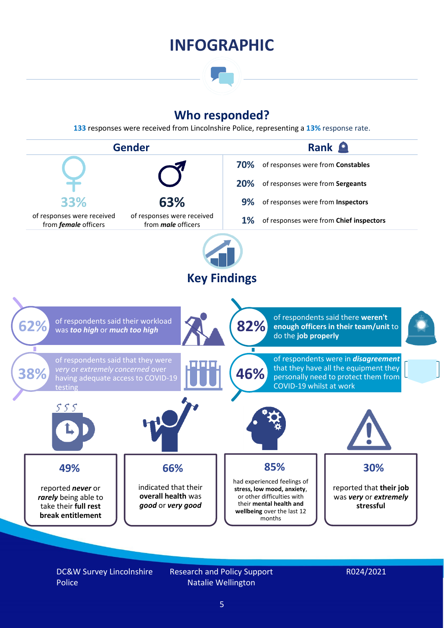### **INFOGRAPHIC**

### **Who responded?**

**133** responses were received from Lincolnshire Police, representing a **13%** response rate.



DC&W Survey Lincolnshire Police

Research and Policy Support Natalie Wellington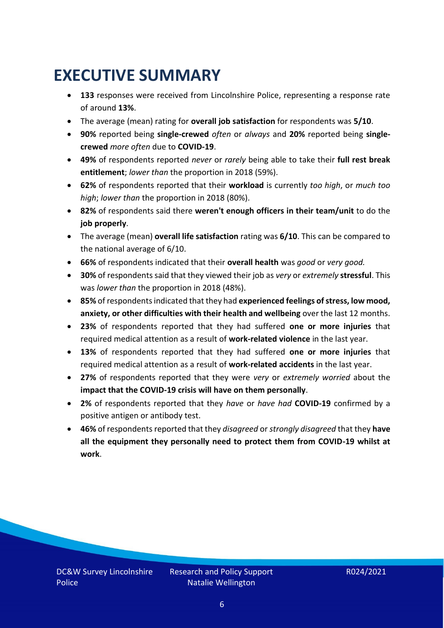## <span id="page-5-0"></span>**EXECUTIVE SUMMARY**

- **133** responses were received from Lincolnshire Police, representing a response rate of around **13%**.
- The average (mean) rating for **overall job satisfaction** for respondents was **5/10**.
- **90%** reported being **single-crewed** *often* or *always* and **20%** reported being **singlecrewed** *more often* due to **COVID-19**.
- **49%** of respondents reported *never* or *rarely* being able to take their **full rest break entitlement**; *lower than* the proportion in 2018 (59%).
- **62%** of respondents reported that their **workload** is currently *too high*, or *much too high*; *lower than* the proportion in 2018 (80%).
- **82%** of respondents said there **weren't enough officers in their team/unit** to do the **job properly**.
- The average (mean) **overall life satisfaction** rating was **6/10**. This can be compared to the national average of 6/10.
- **66%** of respondents indicated that their **overall health** was *good* or *very good.*
- **30%** of respondents said that they viewed their job as *very* or *extremely* **stressful**. This was *lower than* the proportion in 2018 (48%).
- **85%** of respondents indicated that they had **experienced feelings of stress, low mood, anxiety, or other difficulties with their health and wellbeing** over the last 12 months.
- **23%** of respondents reported that they had suffered **one or more injuries** that required medical attention as a result of **work-related violence** in the last year.
- **13%** of respondents reported that they had suffered **one or more injuries** that required medical attention as a result of **work-related accidents** in the last year.
- **27%** of respondents reported that they were *very* or *extremely worried* about the **impact that the COVID-19 crisis will have on them personally**.
- **2%** of respondents reported that they *have* or *have had* **COVID-19** confirmed by a positive antigen or antibody test.
- **46%** of respondents reported that they *disagreed* or *strongly disagreed* that they **have all the equipment they personally need to protect them from COVID-19 whilst at work**.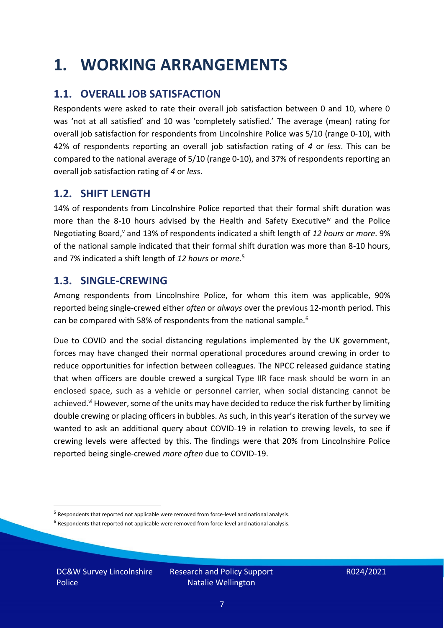### <span id="page-6-0"></span>**1. WORKING ARRANGEMENTS**

### **1.1. OVERALL JOB SATISFACTION**

Respondents were asked to rate their overall job satisfaction between 0 and 10, where 0 was 'not at all satisfied' and 10 was 'completely satisfied.' The average (mean) rating for overall job satisfaction for respondents from Lincolnshire Police was 5/10 (range 0-10), with 42% of respondents reporting an overall job satisfaction rating of *4* or *less*. This can be compared to the national average of 5/10 (range 0-10), and 37% of respondents reporting an overall job satisfaction rating of *4* or *less*.

#### **1.2. SHIFT LENGTH**

14% of respondents from Lincolnshire Police reported that their formal shift duration was more than the 8-10 hours advised by the Health and Safety Executive<sup>iv</sup> and the Police Negotiating Board,<sup>v</sup> and 13% of respondents indicated a shift length of 12 hours or *more*. 9% of the national sample indicated that their formal shift duration was more than 8-10 hours, and 7% indicated a shift length of *12 hours* or *more*. 5

#### **1.3. SINGLE-CREWING**

Among respondents from Lincolnshire Police, for whom this item was applicable, 90% reported being single-crewed either *often* or *always* over the previous 12-month period. This can be compared with 58% of respondents from the national sample.<sup>6</sup>

Due to COVID and the social distancing regulations implemented by the UK government, forces may have changed their normal operational procedures around crewing in order to reduce opportunities for infection between colleagues. The NPCC released guidance stating that when officers are double crewed a surgical Type IIR face mask should be worn in an enclosed space, such as a vehicle or personnel carrier, when social distancing cannot be achieved.<sup>vi</sup> However, some of the units may have decided to reduce the risk further by limiting double crewing or placing officers in bubbles. As such, in this year's iteration of the survey we wanted to ask an additional query about COVID-19 in relation to crewing levels, to see if crewing levels were affected by this. The findings were that 20% from Lincolnshire Police reported being single-crewed *more often* due to COVID-19.

DC&W Survey Lincolnshire Police

<sup>&</sup>lt;sup>5</sup> Respondents that reported not applicable were removed from force-level and national analysis.

 $<sup>6</sup>$  Respondents that reported not applicable were removed from force-level and national analysis.</sup>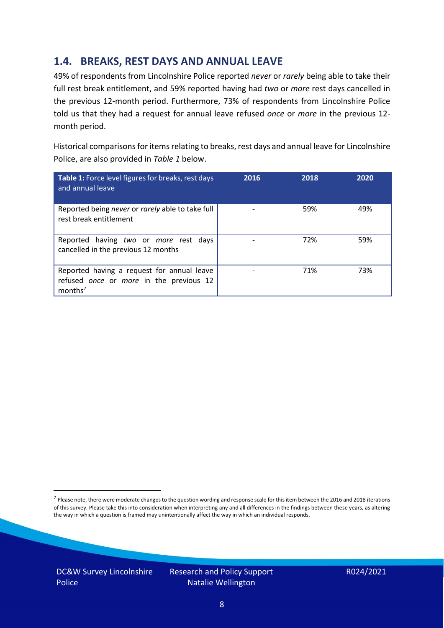### **1.4. BREAKS, REST DAYS AND ANNUAL LEAVE**

49% of respondents from Lincolnshire Police reported *never* or *rarely* being able to take their full rest break entitlement, and 59% reported having had *two* or *more* rest days cancelled in the previous 12-month period. Furthermore, 73% of respondents from Lincolnshire Police told us that they had a request for annual leave refused *once* or *more* in the previous 12 month period.

Historical comparisons for items relating to breaks, rest days and annual leave for Lincolnshire Police, are also provided in *Table 1* below.

| Table 1: Force level figures for breaks, rest days<br>and annual leave                                       | 2016 | 2018 | 2020 |
|--------------------------------------------------------------------------------------------------------------|------|------|------|
| Reported being never or rarely able to take full<br>rest break entitlement                                   |      | 59%  | 49%  |
| Reported having two or more rest days<br>cancelled in the previous 12 months                                 |      | 72%  | 59%  |
| Reported having a request for annual leave<br>refused once or more in the previous 12<br>months <sup>7</sup> |      | 71%  | 73%  |

DC&W Survey Lincolnshire Police

<sup>&</sup>lt;sup>7</sup> Please note, there were moderate changes to the question wording and response scale for this item between the 2016 and 2018 iterations of this survey. Please take this into consideration when interpreting any and all differences in the findings between these years, as altering the way in which a question is framed may unintentionally affect the way in which an individual responds.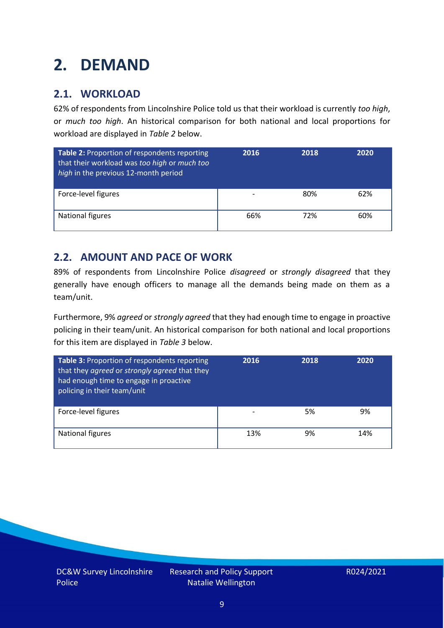# <span id="page-8-0"></span>**2. DEMAND**

### **2.1. WORKLOAD**

62% of respondents from Lincolnshire Police told us that their workload is currently *too high*, or *much too high*. An historical comparison for both national and local proportions for workload are displayed in *Table 2* below.

| Table 2: Proportion of respondents reporting<br>that their workload was too high or much too<br>high in the previous 12-month period | 2016 | 2018 | 2020 |
|--------------------------------------------------------------------------------------------------------------------------------------|------|------|------|
| Force-level figures                                                                                                                  |      | 80%  | 62%  |
| National figures                                                                                                                     | 66%  | 72%  | 60%  |

#### **2.2. AMOUNT AND PACE OF WORK**

89% of respondents from Lincolnshire Police *disagreed* or *strongly disagreed* that they generally have enough officers to manage all the demands being made on them as a team/unit.

Furthermore, 9% *agreed* or *strongly agreed* that they had enough time to engage in proactive policing in their team/unit. An historical comparison for both national and local proportions for this item are displayed in *Table 3* below.

| <b>Table 3: Proportion of respondents reporting</b><br>that they agreed or strongly agreed that they<br>had enough time to engage in proactive<br>policing in their team/unit | 2016 | 2018 | 2020 |
|-------------------------------------------------------------------------------------------------------------------------------------------------------------------------------|------|------|------|
| Force-level figures                                                                                                                                                           |      | 5%   | 9%   |
| National figures                                                                                                                                                              | 13%  | 9%   | 14%  |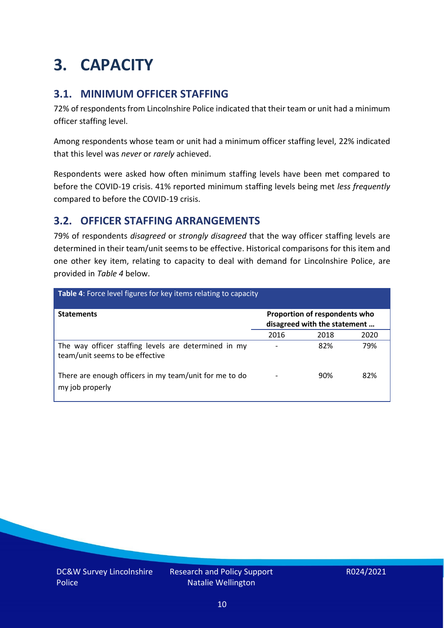# <span id="page-9-0"></span>**3. CAPACITY**

### **3.1. MINIMUM OFFICER STAFFING**

72% of respondents from Lincolnshire Police indicated that their team or unit had a minimum officer staffing level.

Among respondents whose team or unit had a minimum officer staffing level, 22% indicated that this level was *never* or *rarely* achieved.

Respondents were asked how often minimum staffing levels have been met compared to before the COVID-19 crisis. 41% reported minimum staffing levels being met *less frequently* compared to before the COVID-19 crisis.

### **3.2. OFFICER STAFFING ARRANGEMENTS**

79% of respondents *disagreed* or *strongly disagreed* that the way officer staffing levels are determined in their team/unit seems to be effective. Historical comparisons for this item and one other key item, relating to capacity to deal with demand for Lincolnshire Police, are provided in *Table 4* below.

| <b>Table 4:</b> Force level figures for key items relating to capacity                  |      |                                                               |      |  |
|-----------------------------------------------------------------------------------------|------|---------------------------------------------------------------|------|--|
| <b>Statements</b>                                                                       |      | Proportion of respondents who<br>disagreed with the statement |      |  |
|                                                                                         | 2016 | 2018                                                          | 2020 |  |
| The way officer staffing levels are determined in my<br>team/unit seems to be effective |      | 82%                                                           | 79%  |  |
| There are enough officers in my team/unit for me to do<br>my job properly               |      | 90%                                                           | 82%  |  |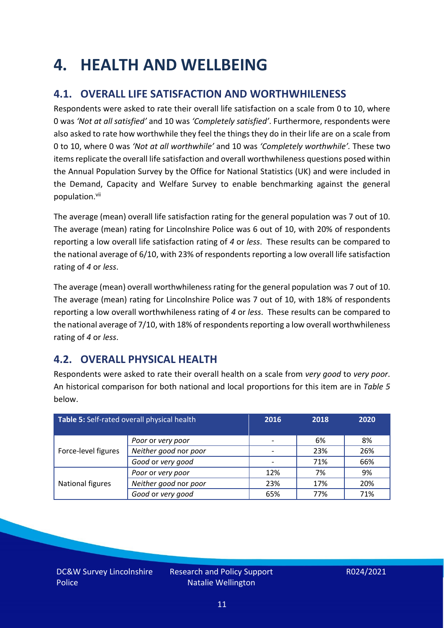### <span id="page-10-0"></span>**4. HEALTH AND WELLBEING**

### **4.1. OVERALL LIFE SATISFACTION AND WORTHWHILENESS**

Respondents were asked to rate their overall life satisfaction on a scale from 0 to 10, where 0 was *'Not at all satisfied'* and 10 was *'Completely satisfied'*. Furthermore, respondents were also asked to rate how worthwhile they feel the things they do in their life are on a scale from 0 to 10, where 0 was *'Not at all worthwhile'* and 10 was *'Completely worthwhile'.* These two items replicate the overall life satisfaction and overall worthwhileness questions posed within the Annual Population Survey by the Office for National Statistics (UK) and were included in the Demand, Capacity and Welfare Survey to enable benchmarking against the general population. vii

The average (mean) overall life satisfaction rating for the general population was 7 out of 10. The average (mean) rating for Lincolnshire Police was 6 out of 10, with 20% of respondents reporting a low overall life satisfaction rating of *4* or *less*. These results can be compared to the national average of 6/10, with 23% of respondents reporting a low overall life satisfaction rating of *4* or *less*.

The average (mean) overall worthwhileness rating for the general population was 7 out of 10. The average (mean) rating for Lincolnshire Police was 7 out of 10, with 18% of respondents reporting a low overall worthwhileness rating of *4* or *less*. These results can be compared to the national average of 7/10, with 18% of respondents reporting a low overall worthwhileness rating of *4* or *less*.

### **4.2. OVERALL PHYSICAL HEALTH**

Respondents were asked to rate their overall health on a scale from *very good* to *very poor*. An historical comparison for both national and local proportions for this item are in *Table 5* below.

| Table 5: Self-rated overall physical health |                       | 2016 | 2018 | 2020 |
|---------------------------------------------|-----------------------|------|------|------|
|                                             | Poor or very poor     |      | 6%   | 8%   |
| Force-level figures                         | Neither good nor poor |      | 23%  | 26%  |
|                                             | Good or very good     |      | 71%  | 66%  |
|                                             | Poor or very poor     | 12%  | 7%   | 9%   |
| National figures                            | Neither good nor poor | 23%  | 17%  | 20%  |
|                                             | Good or very good     | 65%  | 77%  | 71%  |

DC&W Survey Lincolnshire Police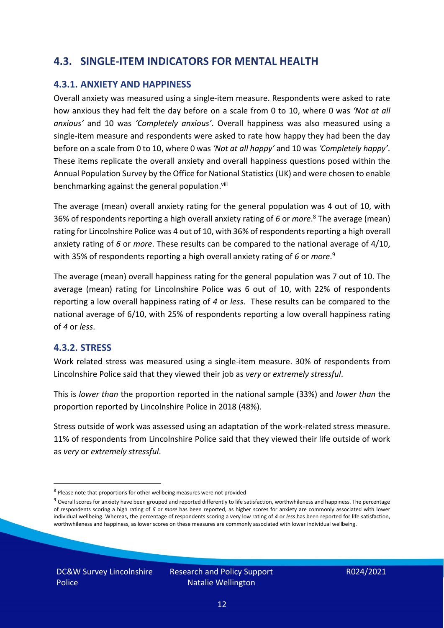#### **4.3. SINGLE-ITEM INDICATORS FOR MENTAL HEALTH**

#### **4.3.1. ANXIETY AND HAPPINESS**

Overall anxiety was measured using a single-item measure. Respondents were asked to rate how anxious they had felt the day before on a scale from 0 to 10, where 0 was *'Not at all anxious'* and 10 was *'Completely anxious'*. Overall happiness was also measured using a single-item measure and respondents were asked to rate how happy they had been the day before on a scale from 0 to 10, where 0 was *'Not at all happy'* and 10 was *'Completely happy'*. These items replicate the overall anxiety and overall happiness questions posed within the Annual Population Survey by the Office for National Statistics (UK) and were chosen to enable benchmarking against the general population.<sup>viii</sup>

The average (mean) overall anxiety rating for the general population was 4 out of 10, with 36% of respondents reporting a high overall anxiety rating of *6* or *more*. <sup>8</sup> The average (mean) rating for Lincolnshire Police was 4 out of 10, with 36% of respondents reporting a high overall anxiety rating of *6* or *more*. These results can be compared to the national average of 4/10, with 35% of respondents reporting a high overall anxiety rating of *6* or *more*. 9

The average (mean) overall happiness rating for the general population was 7 out of 10. The average (mean) rating for Lincolnshire Police was 6 out of 10, with 22% of respondents reporting a low overall happiness rating of *4* or *less*. These results can be compared to the national average of 6/10, with 25% of respondents reporting a low overall happiness rating of *4* or *less*.

#### **4.3.2. STRESS**

Work related stress was measured using a single-item measure. 30% of respondents from Lincolnshire Police said that they viewed their job as *very* or *extremely stressful*.

This is *lower than* the proportion reported in the national sample (33%) and *lower than* the proportion reported by Lincolnshire Police in 2018 (48%).

Stress outside of work was assessed using an adaptation of the work-related stress measure. 11% of respondents from Lincolnshire Police said that they viewed their life outside of work as *very* or *extremely stressful*.

<sup>&</sup>lt;sup>8</sup> Please note that proportions for other wellbeing measures were not provided

 $9$  Overall scores for anxiety have been grouped and reported differently to life satisfaction, worthwhileness and happiness. The percentage of respondents scoring a high rating of *6* or *more* has been reported, as higher scores for anxiety are commonly associated with lower individual wellbeing. Whereas, the percentage of respondents scoring a very low rating of *4* or *less* has been reported for life satisfaction, worthwhileness and happiness, as lower scores on these measures are commonly associated with lower individual wellbeing.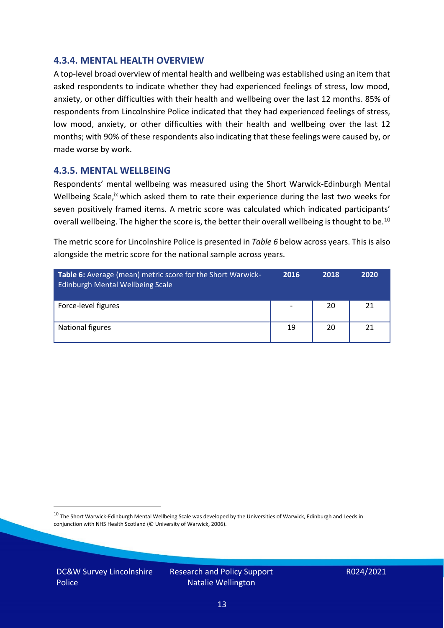#### **4.3.4. MENTAL HEALTH OVERVIEW**

A top-level broad overview of mental health and wellbeing was established using an item that asked respondents to indicate whether they had experienced feelings of stress, low mood, anxiety, or other difficulties with their health and wellbeing over the last 12 months. 85% of respondents from Lincolnshire Police indicated that they had experienced feelings of stress, low mood, anxiety, or other difficulties with their health and wellbeing over the last 12 months; with 90% of these respondents also indicating that these feelings were caused by, or made worse by work.

#### **4.3.5. MENTAL WELLBEING**

Respondents' mental wellbeing was measured using the Short Warwick-Edinburgh Mental Wellbeing Scale,<sup>ix</sup> which asked them to rate their experience during the last two weeks for seven positively framed items. A metric score was calculated which indicated participants' overall wellbeing. The higher the score is, the better their overall wellbeing is thought to be.<sup>10</sup>

The metric score for Lincolnshire Police is presented in *Table 6* below across years. This is also alongside the metric score for the national sample across years.

| <b>Table 6:</b> Average (mean) metric score for the Short Warwick-<br>Edinburgh Mental Wellbeing Scale | 2016                     | 2018 | 2020 |
|--------------------------------------------------------------------------------------------------------|--------------------------|------|------|
| Force-level figures                                                                                    | $\overline{\phantom{a}}$ | 20   | 21   |
| National figures                                                                                       | 19                       | 20   | 21   |

 $10$  The Short Warwick-Edinburgh Mental Wellbeing Scale was developed by the Universities of Warwick, Edinburgh and Leeds in conjunction with NHS Health Scotland (© University of Warwick, 2006).

DC&W Survey Lincolnshire Police

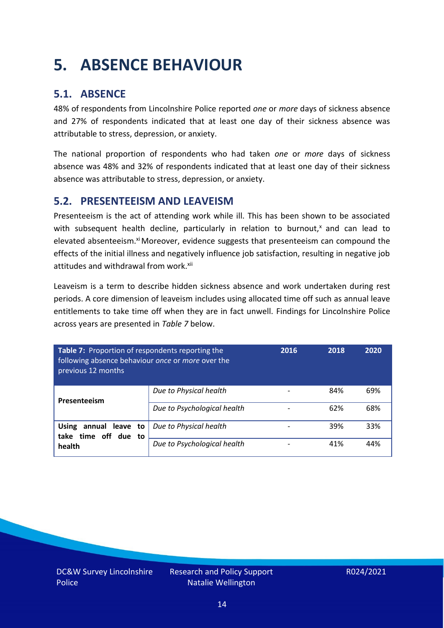# <span id="page-13-0"></span>**5. ABSENCE BEHAVIOUR**

### **5.1. ABSENCE**

48% of respondents from Lincolnshire Police reported *one* or *more* days of sickness absence and 27% of respondents indicated that at least one day of their sickness absence was attributable to stress, depression, or anxiety.

The national proportion of respondents who had taken *one* or *more* days of sickness absence was 48% and 32% of respondents indicated that at least one day of their sickness absence was attributable to stress, depression, or anxiety.

#### **5.2. PRESENTEEISM AND LEAVEISM**

Presenteeism is the act of attending work while ill. This has been shown to be associated with subsequent health decline, particularly in relation to burnout, $x$  and can lead to elevated absenteeism.<sup>xi</sup> Moreover, evidence suggests that presenteeism can compound the effects of the initial illness and negatively influence job satisfaction, resulting in negative job attitudes and withdrawal from work.<sup>xii</sup>

Leaveism is a term to describe hidden sickness absence and work undertaken during rest periods. A core dimension of leaveism includes using allocated time off such as annual leave entitlements to take time off when they are in fact unwell. Findings for Lincolnshire Police across years are presented in *Table 7* below.

| Table 7: Proportion of respondents reporting the<br>following absence behaviour once or more over the<br>previous 12 months |                             | 2016 | 2018 | 2020 |
|-----------------------------------------------------------------------------------------------------------------------------|-----------------------------|------|------|------|
| Presenteeism                                                                                                                | Due to Physical health      |      | 84%  | 69%  |
|                                                                                                                             | Due to Psychological health |      | 62%  | 68%  |
| annual leave to<br><b>Using</b><br>take time off due to                                                                     | Due to Physical health      |      | 39%  | 33%  |
| health                                                                                                                      | Due to Psychological health |      | 41%  | 44%  |

DC&W Survey Lincolnshire Police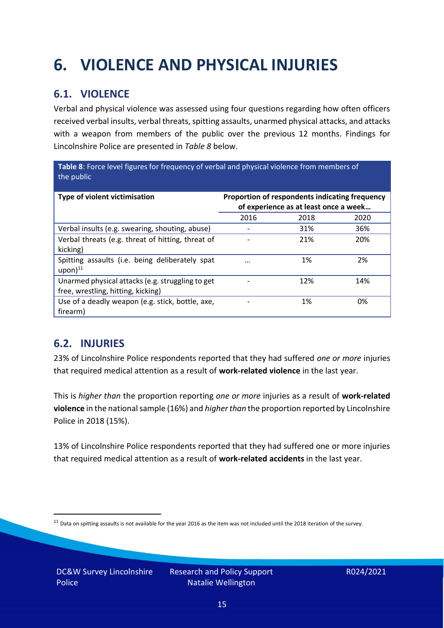# <span id="page-14-0"></span>**6. VIOLENCE AND PHYSICAL INJURIES**

### **6.1. VIOLENCE**

Verbal and physical violence was assessed using four questions regarding how often officers received verbal insults, verbal threats, spitting assaults, unarmed physical attacks, and attacks with a weapon from members of the public over the previous 12 months. Findings for Lincolnshire Police are presented in *Table 8* below.

**Table 8**: Force level figures for frequency of verbal and physical violence from members of the public

| Type of violent victimisation                                                          | Proportion of respondents indicating frequency<br>of experience as at least once a week |      |      |
|----------------------------------------------------------------------------------------|-----------------------------------------------------------------------------------------|------|------|
|                                                                                        | 2016                                                                                    | 2018 | 2020 |
| Verbal insults (e.g. swearing, shouting, abuse)                                        |                                                                                         | 31%  | 36%  |
| Verbal threats (e.g. threat of hitting, threat of<br>kicking)                          |                                                                                         | 21%  | 20%  |
| Spitting assaults (i.e. being deliberately spat<br>$upon)$ <sup>11</sup>               | $\cdots$                                                                                | 1%   | 2%   |
| Unarmed physical attacks (e.g. struggling to get<br>free, wrestling, hitting, kicking) |                                                                                         | 12%  | 14%  |
| Use of a deadly weapon (e.g. stick, bottle, axe,<br>firearm)                           |                                                                                         | 1%   | 0%   |

### **6.2. INJURIES**

23% of Lincolnshire Police respondents reported that they had suffered *one or more* injuries that required medical attention as a result of **work-related violence** in the last year.

This is *higher than* the proportion reporting *one or more* injuries as a result of **work-related violence** in the national sample (16%) and *higher than* the proportion reported by Lincolnshire Police in 2018 (15%).

13% of Lincolnshire Police respondents reported that they had suffered one or more injuries that required medical attention as a result of **work-related accidents** in the last year.

 $11$  Data on spitting assaults is not available for the year 2016 as the item was not included until the 2018 iteration of the survey.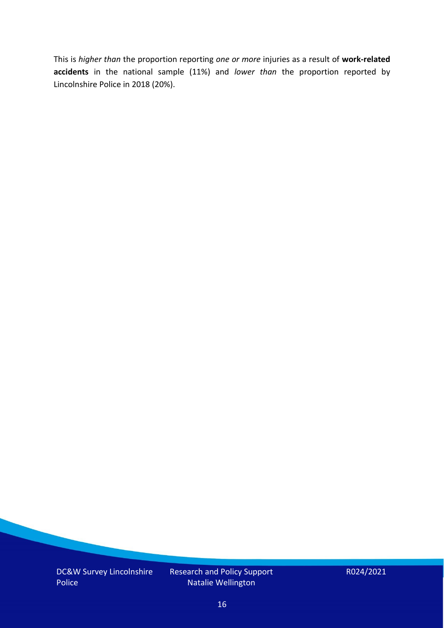This is *higher than* the proportion reporting *one or more* injuries as a result of **work-related accidents** in the national sample (11%) and *lower than* the proportion reported by Lincolnshire Police in 2018 (20%).

DC&W Survey Lincolnshire Police

Research and Policy Support Natalie Wellington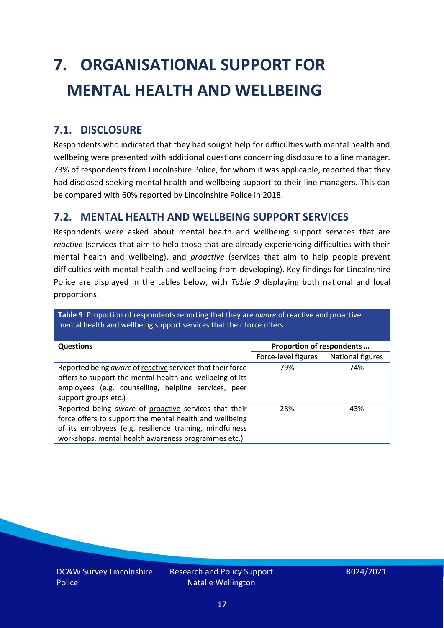# <span id="page-16-0"></span>**7. ORGANISATIONAL SUPPORT FOR MENTAL HEALTH AND WELLBEING**

### **7.1. DISCLOSURE**

Respondents who indicated that they had sought help for difficulties with mental health and wellbeing were presented with additional questions concerning disclosure to a line manager. 73% of respondents from Lincolnshire Police, for whom it was applicable, reported that they had disclosed seeking mental health and wellbeing support to their line managers. This can be compared with 60% reported by Lincolnshire Police in 2018.

#### **7.2. MENTAL HEALTH AND WELLBEING SUPPORT SERVICES**

Respondents were asked about mental health and wellbeing support services that are *reactive* (services that aim to help those that are already experiencing difficulties with their mental health and wellbeing), and *proactive* (services that aim to help people prevent difficulties with mental health and wellbeing from developing). Key findings for Lincolnshire Police are displayed in the tables below, with *Table 9* displaying both national and local proportions.

**Table 9**: Proportion of respondents reporting that they are *aware* of reactive and proactive mental health and wellbeing support services that their force offers

| <b>Questions</b>                                                                                                                                                                                                                   | Proportion of respondents |                  |
|------------------------------------------------------------------------------------------------------------------------------------------------------------------------------------------------------------------------------------|---------------------------|------------------|
|                                                                                                                                                                                                                                    | Force-level figures       | National figures |
| Reported being aware of reactive services that their force<br>offers to support the mental health and wellbeing of its<br>employees (e.g. counselling, helpline services, peer<br>support groups etc.)                             | 79%                       | 74%              |
| Reported being aware of proactive services that their<br>force offers to support the mental health and wellbeing<br>of its employees (e.g. resilience training, mindfulness<br>workshops, mental health awareness programmes etc.) | 28%                       | 43%              |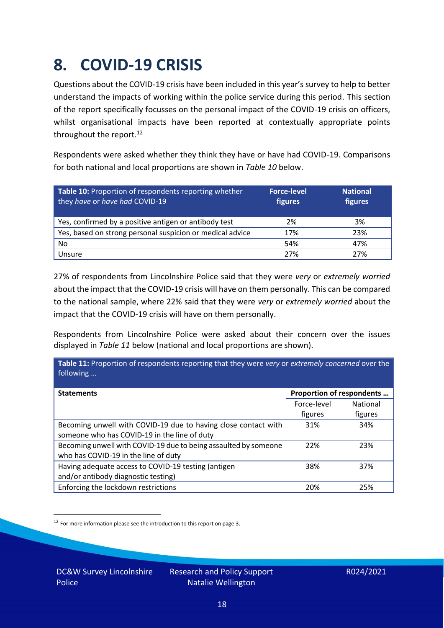### <span id="page-17-0"></span>**8. COVID-19 CRISIS**

Questions about the COVID-19 crisis have been included in this year's survey to help to better understand the impacts of working within the police service during this period. This section of the report specifically focusses on the personal impact of the COVID-19 crisis on officers, whilst organisational impacts have been reported at contextually appropriate points throughout the report.<sup>12</sup>

Respondents were asked whether they think they have or have had COVID-19. Comparisons for both national and local proportions are shown in *Table 10* below.

| Table 10: Proportion of respondents reporting whether<br>they have or have had COVID-19 | <b>Force-level</b><br>figures | <b>National</b><br>figures |
|-----------------------------------------------------------------------------------------|-------------------------------|----------------------------|
| Yes, confirmed by a positive antigen or antibody test                                   | 2%                            | 3%                         |
| Yes, based on strong personal suspicion or medical advice                               | 17%                           | 23%                        |
| No                                                                                      | 54%                           | 47%                        |
| Unsure                                                                                  | 27%                           | 27%                        |

27% of respondents from Lincolnshire Police said that they were *very* or *extremely worried* about the impact that the COVID-19 crisis will have on them personally. This can be compared to the national sample, where 22% said that they were *very* or *extremely worried* about the impact that the COVID-19 crisis will have on them personally.

Respondents from Lincolnshire Police were asked about their concern over the issues displayed in *Table 11* below (national and local proportions are shown).

| Table 11: Proportion of respondents reporting that they were very or extremely concerned over the<br>following |                           |                 |
|----------------------------------------------------------------------------------------------------------------|---------------------------|-----------------|
| <b>Statements</b>                                                                                              | Proportion of respondents |                 |
|                                                                                                                | Force-level               | <b>National</b> |
|                                                                                                                | figures                   | figures         |
| Becoming unwell with COVID-19 due to having close contact with                                                 | 31%                       | 34%             |
| someone who has COVID-19 in the line of duty                                                                   |                           |                 |
| Becoming unwell with COVID-19 due to being assaulted by someone                                                | 22%                       | 23%             |
| who has COVID-19 in the line of duty                                                                           |                           |                 |
| Having adequate access to COVID-19 testing (antigen                                                            | 38%                       | 37%             |
| and/or antibody diagnostic testing)                                                                            |                           |                 |
| Enforcing the lockdown restrictions                                                                            | 20%                       | 25%             |

<sup>12</sup> For more information please see the introduction to this report on page 3.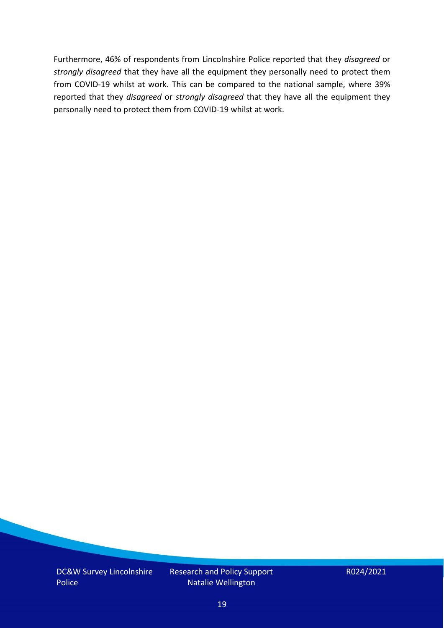Furthermore, 46% of respondents from Lincolnshire Police reported that they *disagreed* or *strongly disagreed* that they have all the equipment they personally need to protect them from COVID-19 whilst at work. This can be compared to the national sample, where 39% reported that they *disagreed* or *strongly disagreed* that they have all the equipment they personally need to protect them from COVID-19 whilst at work.

DC&W Survey Lincolnshire Police

Research and Policy Support Natalie Wellington